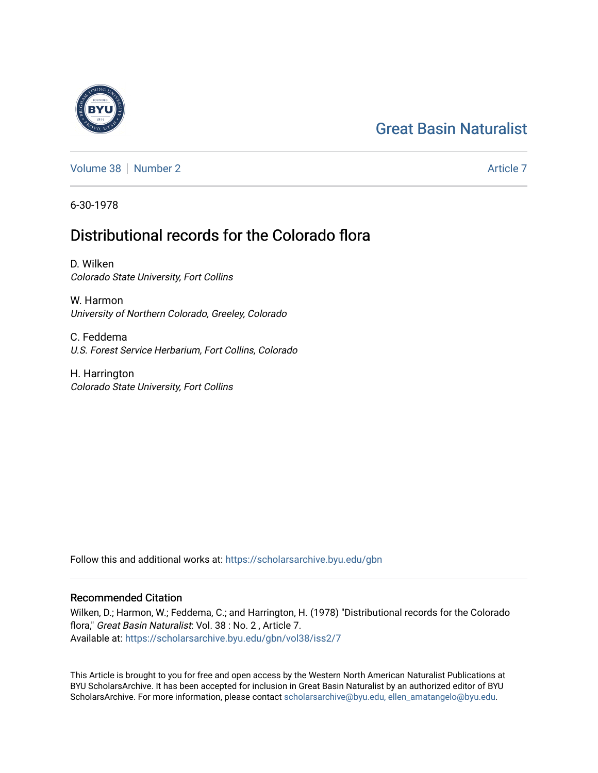# [Great Basin Naturalist](https://scholarsarchive.byu.edu/gbn)

[Volume 38](https://scholarsarchive.byu.edu/gbn/vol38) [Number 2](https://scholarsarchive.byu.edu/gbn/vol38/iss2) [Article 7](https://scholarsarchive.byu.edu/gbn/vol38/iss2/7) Article 7 Article 7

6-30-1978

# Distributional records for the Colorado flora

D. Wilken Colorado State University, Fort Collins

W. Harmon University of Northern Colorado, Greeley, Colorado

C. Feddema U.S. Forest Service Herbarium, Fort Collins, Colorado

H. Harrington Colorado State University, Fort Collins

Follow this and additional works at: [https://scholarsarchive.byu.edu/gbn](https://scholarsarchive.byu.edu/gbn?utm_source=scholarsarchive.byu.edu%2Fgbn%2Fvol38%2Fiss2%2F7&utm_medium=PDF&utm_campaign=PDFCoverPages) 

# Recommended Citation

Wilken, D.; Harmon, W.; Feddema, C.; and Harrington, H. (1978) "Distributional records for the Colorado flora," Great Basin Naturalist: Vol. 38 : No. 2 , Article 7. Available at: [https://scholarsarchive.byu.edu/gbn/vol38/iss2/7](https://scholarsarchive.byu.edu/gbn/vol38/iss2/7?utm_source=scholarsarchive.byu.edu%2Fgbn%2Fvol38%2Fiss2%2F7&utm_medium=PDF&utm_campaign=PDFCoverPages)

This Article is brought to you for free and open access by the Western North American Naturalist Publications at BYU ScholarsArchive. It has been accepted for inclusion in Great Basin Naturalist by an authorized editor of BYU ScholarsArchive. For more information, please contact [scholarsarchive@byu.edu, ellen\\_amatangelo@byu.edu.](mailto:scholarsarchive@byu.edu,%20ellen_amatangelo@byu.edu)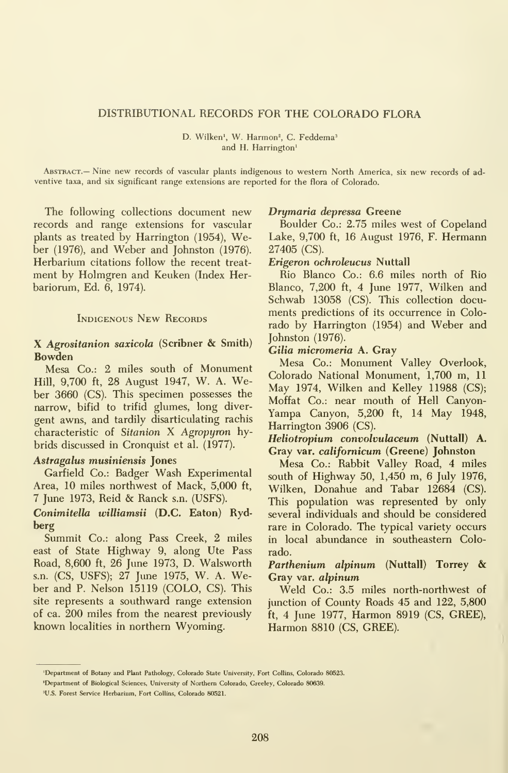#### DISTRIBUTIONAL RECORDS FOR THE COLORADO FLORA

D. Wilken<sup>1</sup>, W. Harmon<sup>2</sup>, C. Feddema<sup>3</sup> and H. Harrington'

Abstract.— Nine new records of vascular plants indigenous to western North America, six new records of ad ventive taxa, and six significant range extensions are reported for the flora of Colorado.

The following collections document new records and range extensions for vascular plants as treated by Harrington (1954), Weber (1976), and Weber and Johnston (1976). Herbarium citations follow the recent treat ment by Holmgren and Keuken (Index Herbariorum, Ed. 6, 1974).

#### INDIGENOUS NEW RECORDS

#### X Agrositanion saxicola (Scribner & Smith) Bowden

Mesa Co.: 2 miles south of Monument Hill, 9,700 ft, 28 August 1947, W. A. Weber 3660 (CS). This specimen possesses the narrow, bifid to trifid glumes, long diver gent awns, and tardily disarticulating rachis characteristic of Sitanion X Agropyron hybrids discussed in Cronquist et al. (1977).

#### Astragalus musiniensis Jones

Garfield Co.: Badger Wash Experimental Area, 10 miles northwest of Mack, 5,000 ft, <sup>7</sup> June 1973, Reid & Ranck s.n. (USES).

#### Conimitella williamsii (D.C. Eaton) Rydberg

Summit Co.: along Pass Creek, 2 miles east of State Highway 9, along Ute Pass Road, 8,600 ft, 26 June 1973, D. Walsworth s.n. (CS, USES); 27 June 1975, W. A. Weber and P. Nelson 15119 (COLO, CS). This site represents a southward range extension of ca. 200 miles from the nearest previously known localities in northern Wyoming.

#### Drymaria depressa Greene

Boulder Co.: 2.75 miles west of Copeland Lake, 9,700 ft, 16 August 1976, F. Hermann 27405 (CS).

#### Erigeron ochroleucus Nuttall

Rio Blanco Co.: 6.6 miles north of Rio Blanco, 7,200 ft, 4 June 1977, Wilken and Schwab 13058 (CS). This collection documents predictions of its occurrence in Colorado by Harrington (1954) and Weber and Johnston (1976).

#### Cilia micromeria A. Gray

Mesa Co.: Monument Valley Overlook, Colorado National Monument, 1,700 m, 11 May 1974, Wilken and Kelley 11988 (CS); Moffat Co.: near mouth of Hell Canyon-Yampa Canyon, 5,200 ft, 14 May 1948, Harrington 3906 (CS).

Heliotropium convolvulaceum (Nuttall) A. Gray var. californicum (Greene) Johnston

Mesa Co.: Rabbit Valley Road, 4 miles south of Highway 50, 1,450 m, 6 July 1976, Wilken, Donahue and Tabar 12684 (CS). This population was represented by only several individuals and should be considered rare in Colorado. The typical variety occurs in local abundance in southeastern Colorado.

#### Parthenium alpinum (Nuttall) Torrey & Gray var. alpinum

Weld Co.: 3.5 miles north-northwest of junction of County Roads 45 and 122, 5,800 ft, 4 June 1977, Harmon 8919 (CS, GREE), Harmon 8810 (CS, GREE).

<sup>&#</sup>x27;Department of Botany and Plant Pathology, Colorado State University, Fort Collins, Colorado 80523.

<sup>&#</sup>x27;Department of Biological Sciences, University of Northern Colorado, Greeley, Colorado 80639.

<sup>&#</sup>x27;U.S. Forest Service Herbarium, Fort Collins, Colorado 80521.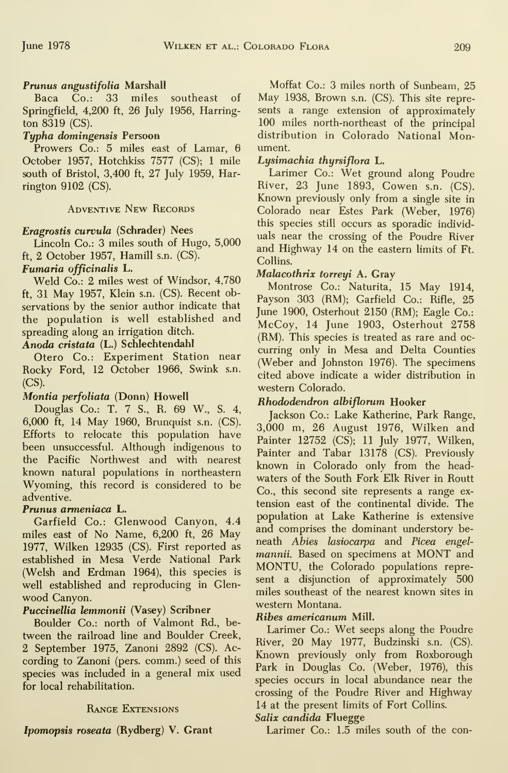# Prunus angustifolia Marshall

Baca Co.: 33 miles southeast of Springfield, 4,200 ft, 26 July 1956, Harrington 8319 (CS).

## Typha domingensis Persoon

Prowers Co.: 5 miles east of Lamar, 6 October 1957, Hotchkiss 7577 (CS); <sup>1</sup> mile south of Bristol, 3,400 ft, 27 July 1959, Harrington 9102 (CS).

## Adventive New Records

## Eragrostis curvula (Schrader) Nees

Lincoln Co.: 3 miles south of Hugo, 5,000 ft, 2 October 1957, Hamill s.n. (CS).

### Fumaria officinalis L.

Weld Co.: 2 miles west of Windsor, 4,780 ft, 31 May 1957, Klein s.n. (CS). Recent observations by the senior author indicate that the population is well established and spreading along an irrigation ditch.

### Anoda cristata (L.) Schlechtendahl

Otero Co.: Experiment Station near Rocky Ford, 12 October 1966, Swink s.n. (CS).

# Montia perfoliata (Donn) Howell

Douglas Co.: T. 7 S., R. 69 W., S. 4, 6,000 ft, 14 May 1960, Brunquist s.n. (CS). Efforts to relocate this population have been unsuccessful. Although indigenous to the Pacific Northwest and with nearest known natural populations in northeastern Wyoming, this record is considered to be adventive.

### Prunus armeniaca L.

Garfield Co.: Glenwood Canyon, 4.4 miles east of No Name, 6,200 ft, 26 May 1977, Wilken 12935 (CS). First reported as established in Mesa Verde National Park (Welsh and Erdman 1964), this species is well established and reproducing in Glenwood Canyon.

# Puccinellia lemmonii (Vasey) Scribner

Boulder Co.: north of Valmont Rd., be tween the railroad line and Boulder Creek, 2 September 1975, Zanoni 2892 (CS). According to Zanoni (pers. comm.) seed of this species was included in a general mix used for local rehabilitation.

### Range Extensions

Ipomopsis roseata (Rydberg) V. Grant

Moffat Co.: 3 miles north of Sunbeam, 25 May 1938, Brown s.n. (CS). This site represents a range extension of approximately 100 miles north-northeast of the principal distribution in Colorado National Monument.

## Lysimachia thyrsiflora L.

Larimer Co.: Wet ground along Poudre River, 23 June 1893, Cowen s.n. (CS). Known previously only from <sup>a</sup> single site in Colorado near Estes Park (Weber, 1976) this species still occurs as sporadic individuals near the crossing of the Poudre River and Highway 14 on the eastern limits of Ft. Collins.

## Malacothrix torreyi A. Gray

Montrose Co.: Naturita, 15 May 1914, Payson 303 (RM); Garfield Co.: Rifle, 25 June 1900, Osterhout 2150 (RM); Eagle Co.: McCoy, 14 June 1903, Osterhout 2758 (RM). This species is treated as rare and oc curring only in Mesa and Delta Counties (Weber and Johnston 1976). The specimens cited above indicate a wider distribution in western Colorado.

### Rhododendron albiflorum Hooker

Jackson Co.: Lake Katherine, Park Range, 3,000 m, 26 August 1976, Wilken and Painter 12752 (CS); 11 July 1977, Wilken, Painter and Tabar 13178 (CS). Previously known in Colorado only from the headwaters of the South Fork Elk River in Routt Co., this second site represents a range ex tension east of the continental divide. The population at Lake Katherine is extensive and comprises the dominant understory beneath Abies lasiocarpa and Picea engelmannii. Based on specimens at MONT and MONTU, the Colorado populations represent a disjunction of approximately 500 miles southeast of the nearest known sites in western Montana.

### Ribes americanum Mill.

Larimer Co.: Wet seeps along the Poudre River, 20 May 1977, Budzinski s.n. (CS). Known previously only from Roxborough Park in Douglas Co. (Weber, 1976), this species occurs in local abundance near the crossing of the Poudre River and Highway 14 at the present limits of Fort Collins.

### Salix candida Fluegge

Larimer Co.: 1.5 miles south of the con-